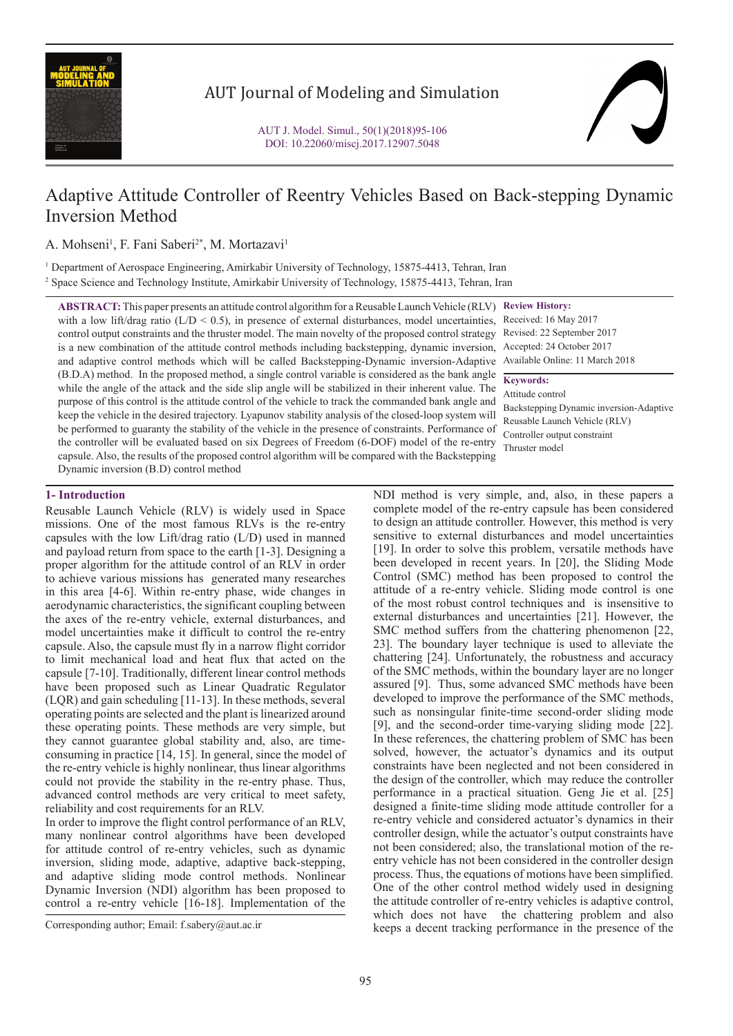

## AUT Journal of Modeling and Simulation

# Adaptive Attitude Controller of Reentry Vehicles Based on Back-stepping Dynamic Inversion Method

A. Mohseni<sup>1</sup>, F. Fani Saberi<sup>2\*</sup>, M. Mortazavi<sup>1</sup>

1 Department of Aerospace Engineering, Amirkabir University of Technology, 15875-4413, Tehran, Iran 2 Space Science and Technology Institute, Amirkabir University of Technology, 15875-4413, Tehran, Iran

**ABSTRACT:** This paper presents an attitude control algorithm for a Reusable Launch Vehicle (RLV) **Review History:** with a low lift/drag ratio (L/D < 0.5), in presence of external disturbances, model uncertainties, Received: 16 May 2017 control output constraints and the thruster model. The main novelty of the proposed control strategy Revised: 22 September 2017 is a new combination of the attitude control methods including backstepping, dynamic inversion, Accepted: 24 October 2017 and adaptive control methods which will be called Backstepping-Dynamic inversion-Adaptive Available Online: 11 March 2018 (B.D.A) method. In the proposed method, a single control variable is considered as the bank angle while the angle of the attack and the side slip angle will be stabilized in their inherent value. The purpose of this control is the attitude control of the vehicle to track the commanded bank angle and keep the vehicle in the desired trajectory. Lyapunov stability analysis of the closed-loop system will be performed to guaranty the stability of the vehicle in the presence of constraints. Performance of the controller will be evaluated based on six Degrees of Freedom (6-DOF) model of the re-entry capsule. Also, the results of the proposed control algorithm will be compared with the Backstepping Dynamic inversion (B.D) control method

**Keywords:**

Attitude control Backstepping Dynamic inversion-Adaptive Reusable Launch Vehicle (RLV) Controller output constraint Thruster model

### **1- Introduction**

Reusable Launch Vehicle (RLV) is widely used in Space missions. One of the most famous RLVs is the re-entry capsules with the low Lift/drag ratio (L/D) used in manned and payload return from space to the earth [1-3]. Designing a proper algorithm for the attitude control of an RLV in order to achieve various missions has generated many researches in this area [4-6]. Within re-entry phase, wide changes in aerodynamic characteristics, the significant coupling between the axes of the re-entry vehicle, external disturbances, and model uncertainties make it difficult to control the re-entry capsule. Also, the capsule must fly in a narrow flight corridor to limit mechanical load and heat flux that acted on the capsule [7-10]. Traditionally, different linear control methods have been proposed such as Linear Quadratic Regulator (LQR) and gain scheduling [11-13]. In these methods, several operating points are selected and the plant is linearized around these operating points. These methods are very simple, but they cannot guarantee global stability and, also, are timeconsuming in practice [14, 15]. In general, since the model of the re-entry vehicle is highly nonlinear, thus linear algorithms could not provide the stability in the re-entry phase. Thus, advanced control methods are very critical to meet safety, reliability and cost requirements for an RLV.

In order to improve the flight control performance of an RLV, many nonlinear control algorithms have been developed for attitude control of re-entry vehicles, such as dynamic inversion, sliding mode, adaptive, adaptive back-stepping, and adaptive sliding mode control methods. Nonlinear Dynamic Inversion (NDI) algorithm has been proposed to control a re-entry vehicle [16-18]. Implementation of the

Corresponding author; Email: f.sabery@aut.ac.ir

NDI method is very simple, and, also, in these papers a complete model of the re-entry capsule has been considered to design an attitude controller. However, this method is very sensitive to external disturbances and model uncertainties [19]. In order to solve this problem, versatile methods have been developed in recent years. In [20], the Sliding Mode Control (SMC) method has been proposed to control the attitude of a re-entry vehicle. Sliding mode control is one of the most robust control techniques and is insensitive to external disturbances and uncertainties [21]. However, the SMC method suffers from the chattering phenomenon [22, 23]. The boundary layer technique is used to alleviate the chattering [24]. Unfortunately, the robustness and accuracy of the SMC methods, within the boundary layer are no longer assured [9]. Thus, some advanced SMC methods have been developed to improve the performance of the SMC methods, such as nonsingular finite-time second-order sliding mode [9], and the second-order time-varying sliding mode [22]. In these references, the chattering problem of SMC has been solved, however, the actuator's dynamics and its output constraints have been neglected and not been considered in the design of the controller, which may reduce the controller performance in a practical situation. Geng Jie et al. [25] designed a finite-time sliding mode attitude controller for a re-entry vehicle and considered actuator's dynamics in their controller design, while the actuator's output constraints have not been considered; also, the translational motion of the reentry vehicle has not been considered in the controller design process. Thus, the equations of motions have been simplified. One of the other control method widely used in designing the attitude controller of re-entry vehicles is adaptive control, which does not have the chattering problem and also keeps a decent tracking performance in the presence of the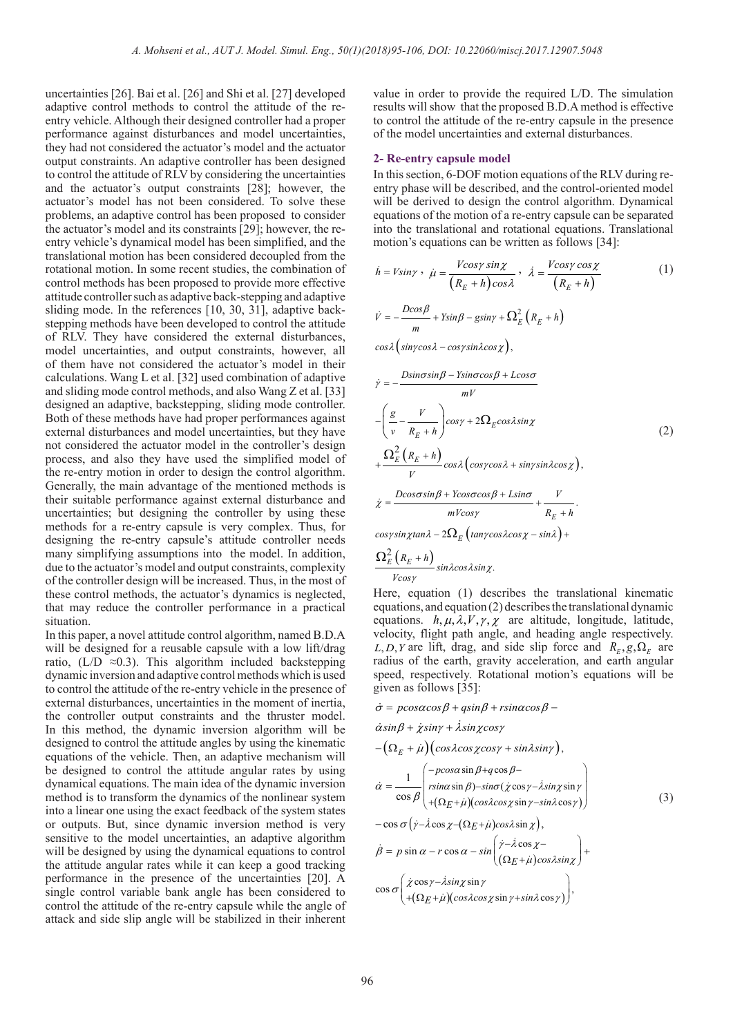uncertainties [26]. Bai et al. [26] and Shi et al. [27] developed adaptive control methods to control the attitude of the reentry vehicle. Although their designed controller had a proper performance against disturbances and model uncertainties, they had not considered the actuator's model and the actuator output constraints. An adaptive controller has been designed to control the attitude of RLV by considering the uncertainties and the actuator's output constraints [28]; however, the actuator's model has not been considered. To solve these problems, an adaptive control has been proposed to consider the actuator's model and its constraints [29]; however, the reentry vehicle's dynamical model has been simplified, and the translational motion has been considered decoupled from the rotational motion. In some recent studies, the combination of control methods has been proposed to provide more effective attitude controller such as adaptive back-stepping and adaptive sliding mode. In the references [10, 30, 31], adaptive backstepping methods have been developed to control the attitude of RLV. They have considered the external disturbances, model uncertainties, and output constraints, however, all of them have not considered the actuator's model in their calculations. Wang L et al. [32] used combination of adaptive and sliding mode control methods, and also Wang Z et al. [33] designed an adaptive, backstepping, sliding mode controller. Both of these methods have had proper performances against external disturbances and model uncertainties, but they have not considered the actuator model in the controller's design process, and also they have used the simplified model of the re-entry motion in order to design the control algorithm. Generally, the main advantage of the mentioned methods is their suitable performance against external disturbance and uncertainties; but designing the controller by using these methods for a re-entry capsule is very complex. Thus, for designing the re-entry capsule's attitude controller needs many simplifying assumptions into the model. In addition, due to the actuator's model and output constraints, complexity of the controller design will be increased. Thus, in the most of these control methods, the actuator's dynamics is neglected, that may reduce the controller performance in a practical situation.

In this paper, a novel attitude control algorithm, named B.D.A will be designed for a reusable capsule with a low lift/drag ratio, (L/D  $\approx$ 0.3). This algorithm included backstepping dynamic inversion and adaptive control methods which is used to control the attitude of the re-entry vehicle in the presence of external disturbances, uncertainties in the moment of inertia, the controller output constraints and the thruster model. In this method, the dynamic inversion algorithm will be designed to control the attitude angles by using the kinematic equations of the vehicle. Then, an adaptive mechanism will be designed to control the attitude angular rates by using dynamical equations. The main idea of the dynamic inversion method is to transform the dynamics of the nonlinear system into a linear one using the exact feedback of the system states or outputs. But, since dynamic inversion method is very sensitive to the model uncertainties, an adaptive algorithm will be designed by using the dynamical equations to control the attitude angular rates while it can keep a good tracking performance in the presence of the uncertainties [20]. A single control variable bank angle has been considered to control the attitude of the re-entry capsule while the angle of attack and side slip angle will be stabilized in their inherent value in order to provide the required L/D. The simulation results will show that the proposed B.D.A method is effective to control the attitude of the re-entry capsule in the presence of the model uncertainties and external disturbances.

#### **2- Re-entry capsule model**

In this section, 6-DOF motion equations of the RLV during reentry phase will be described, and the control-oriented model will be derived to design the control algorithm. Dynamical equations of the motion of a re-entry capsule can be separated into the translational and rotational equations. Translational motion's equations can be written as follows [34]:

$$
\dot{h} = V\sin\gamma \ , \ \dot{\mu} = \frac{V\cos\gamma \sin\chi}{\left(R_E + h\right)\cos\lambda} \ , \ \dot{\lambda} = \frac{V\cos\gamma \cos\chi}{\left(R_E + h\right)} \tag{1}
$$

$$
\dot{V} = -\frac{D\cos\beta}{m} + Y\sin\beta - g\sin\gamma + \Omega_E^2 \left(R_E + h\right)
$$

 $cosλ( sin \gamma cosλ - cos \gamma sin λ cos χ),$ 

$$
\dot{\gamma} = -\frac{D\sin\sigma\sin\beta - Y\sin\sigma\cos\beta + L\cos\sigma}{mV}
$$
  
\n
$$
-\left(\frac{g}{v} - \frac{V}{R_E + h}\right)\cos\gamma + 2\Omega_E\cos\lambda\sin\chi
$$
  
\n
$$
+\frac{\Omega_E^2 (R_E + h)}{V} \cos\lambda \left(\cos\gamma\cos\lambda + \sin\gamma\sin\lambda\cos\chi\right),
$$
  
\n
$$
\dot{\chi} = \frac{D\cos\sigma\sin\beta + Y\cos\sigma\cos\beta + L\sin\sigma}{mV\cos\gamma} + \frac{V}{R_E + h}.
$$
  
\n(2)

$$
\cos\gamma\sin\chi\tan\lambda - 2\Omega_E\left(\tan\gamma\cos\lambda\cos\chi - \sin\lambda\right) + \Omega_E^2\left(R_E + h\right)
$$

$$
\frac{\log E\left(\frac{R_E + n}{E}\right)}{V\cos\gamma}\sin\lambda\cos\lambda\sin\chi.
$$

Here, equation (1) describes the translational kinematic equations, and equation (2) describes the translational dynamic equations.  $h, \mu, \lambda, V, \gamma, \chi$  are altitude, longitude, latitude, velocity, flight path angle, and heading angle respectively.  $L, D, Y$  are lift, drag, and side slip force and  $R_{\kappa}, g, \Omega_{\kappa}$  are radius of the earth, gravity acceleration, and earth angular speed, respectively. Rotational motion's equations will be given as follows [35]:

$$
\dot{\sigma} = p\cos\alpha\cos\beta + q\sin\beta + r\sin\alpha\cos\beta -
$$
\n
$$
\dot{\alpha}\sin\beta + \dot{\gamma}\sin\gamma + \dot{\lambda}\sin\chi\cos\gamma
$$
\n
$$
-(\Omega_E + \dot{\mu})(\cos\lambda\cos\chi\cos\gamma + \sin\lambda\sin\gamma),
$$
\n
$$
\dot{\alpha} = \frac{1}{\cos\beta} \begin{pmatrix} -p\cos\alpha\sin\beta + q\cos\beta - \\ r\sin\alpha\sin\beta - \sin\alpha(\dot{\chi}\cos\gamma - \dot{\lambda}\sin\chi\sin\gamma \\ +(\Omega_E + \dot{\mu})(\cos\lambda\cos\chi\sin\gamma - \sin\lambda\cos\gamma) \end{pmatrix}
$$
\n
$$
-\cos\sigma(\dot{\gamma}-\dot{\lambda}\cos\chi - (\Omega_E + \dot{\mu})\cos\lambda\sin\chi),
$$
\n
$$
\dot{\beta} = p\sin\alpha - r\cos\alpha - \sin(\frac{\dot{\gamma}-\dot{\lambda}\cos\chi}{(\Omega_E + \dot{\mu})\cos\lambda\sin\chi} + \cos\sigma(\frac{\dot{\chi}\cos\gamma - \dot{\lambda}\sin\chi\sin\gamma}{(\Omega_E + \dot{\mu})(\cos\lambda\cos\chi\sin\gamma + \sin\lambda\cos\gamma)}),
$$
\n(3)

 $\big(\text{+}(\Omega_E \text{+} \dot{\mu})(cos\lambda cos\chi sin\gamma + sin\lambda cos\gamma)\big)$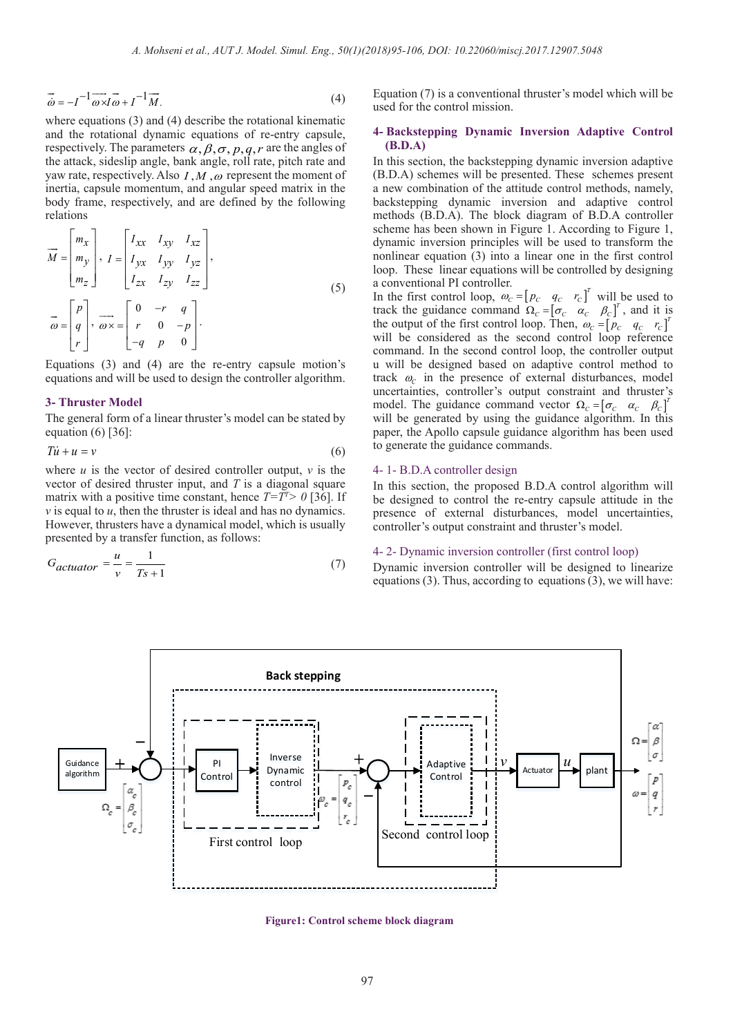$$
\vec{\omega} = -I^{-1} \vec{\omega} \vec{\omega} + I^{-1} \vec{M}.
$$
\n(4)

where equations (3) and (4) describe the rotational kinematic and the rotational dynamic equations of re-entry capsule, respectively. The parameters  $\alpha, \beta, \sigma, p, q, r$  are the angles of the attack, sideslip angle, bank angle, roll rate, pitch rate and yaw rate, respectively. Also  $I, M, \omega$  represent the moment of inertia, capsule momentum, and angular speed matrix in the body frame, respectively, and are defined by the following relations

$$
\overrightarrow{M} = \begin{bmatrix} m_x \\ m_y \\ m_z \end{bmatrix}, I = \begin{bmatrix} I_{xx} & I_{xy} & I_{xz} \\ I_{yx} & I_{yy} & I_{yz} \\ I_{zx} & I_{zy} & I_{zz} \end{bmatrix},
$$
\n
$$
\overrightarrow{\omega} = \begin{bmatrix} p \\ q \\ r \end{bmatrix}, \overrightarrow{\omega} \times = \begin{bmatrix} 0 & -r & q \\ r & 0 & -p \\ -q & p & 0 \end{bmatrix}.
$$
\n(5)

Equations (3) and (4) are the re-entry capsule motion's equations and will be used to design the controller algorithm.

#### **3- Thruster Model**

The general form of a linear thruster's model can be stated by equation (6) [36]:

$$
T\dot{u} + u = v \tag{6}
$$

where  $u$  is the vector of desired controller output,  $v$  is the vector of desired thruster input, and *T* is a diagonal square matrix with a positive time constant, hence  $T=T^7 > 0$  [36]. If *v* is equal to *u*, then the thruster is ideal and has no dynamics. However, thrusters have a dynamical model, which is usually presented by a transfer function, as follows:

$$
G_{actuator} = \frac{u}{v} = \frac{1}{Ts + 1}
$$
\n(7)

Equation (7) is a conventional thruster's model which will be used for the control mission.

#### **4- Backstepping Dynamic Inversion Adaptive Control (B.D.A)**

In this section, the backstepping dynamic inversion adaptive (B.D.A) schemes will be presented. These schemes present a new combination of the attitude control methods, namely, backstepping dynamic inversion and adaptive control methods (B.D.A). The block diagram of B.D.A controller scheme has been shown in Figure 1. According to Figure 1, dynamic inversion principles will be used to transform the nonlinear equation (3) into a linear one in the first control loop. These linear equations will be controlled by designing a conventional PI controller.

In the first control loop,  $\omega_c = [p_c \quad q_c \quad r_c]^T$  will be used to track the guidance command  $\Omega_c = [\sigma_c \quad \alpha_c \quad \beta_c]^T$ , and it is the output of the first control loop. Then,  $\omega_c = \begin{bmatrix} p_c & q_c & r_c \end{bmatrix}^T$ will be considered as the second control loop reference command. In the second control loop, the controller output u will be designed based on adaptive control method to track  $\omega_c$  in the presence of external disturbances, model uncertainties, controller's output constraint and thruster's model. The guidance command vector  $\Omega_c = [\sigma_c \quad \alpha_c \quad \beta_c]^T$ will be generated by using the guidance algorithm. In this paper, the Apollo capsule guidance algorithm has been used to generate the guidance commands.

#### 4- 1- B.D.A controller design

In this section, the proposed B.D.A control algorithm will be designed to control the re-entry capsule attitude in the presence of external disturbances, model uncertainties, controller's output constraint and thruster's model.

#### 4- 2- Dynamic inversion controller (first control loop)

Dynamic inversion controller will be designed to linearize equations (3). Thus, according to equations (3), we will have:



**Figure1: Control scheme block diagram**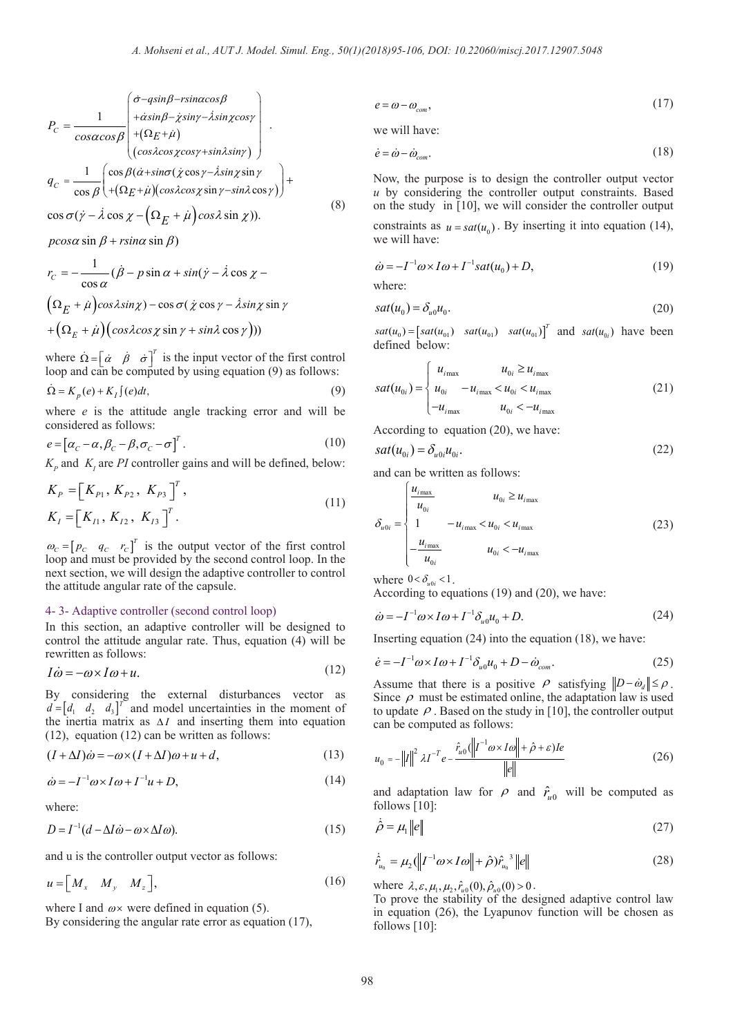$$
P_C = \frac{1}{\cos\alpha\cos\beta} \begin{pmatrix} \dot{\sigma} - g\sin\beta - r\sin\alpha\cos\beta \\ +\dot{\alpha}\sin\beta - \dot{\chi}\sin\gamma - \dot{\lambda}\sin\chi\cos\gamma \\ +(\Omega_E + \dot{\mu}) \\ (\cos\lambda\cos\chi\cos\gamma + \sin\lambda\sin\gamma) \end{pmatrix}.
$$
  
\n
$$
q_C = \frac{1}{\cos\beta} \begin{pmatrix} \cos\beta(\dot{\alpha} + \sin\sigma(\dot{\chi}\cos\gamma - \dot{\lambda}\sin\chi\sin\gamma) \\ +(\Omega_E + \dot{\mu})(\cos\lambda\cos\chi\sin\gamma - \sin\lambda\cos\gamma) \end{pmatrix} + \cos\sigma(\dot{\gamma} - \dot{\lambda}\cos\chi - (\Omega_E + \dot{\mu})\cos\lambda\sin\chi)).
$$
\n(8)

 $p\cos\alpha\sin\beta + r\sin\alpha\sin\beta$ )

$$
r_C = -\frac{1}{\cos \alpha} (\dot{\beta} - p \sin \alpha + \sin(\dot{\gamma} - \dot{\lambda} \cos \chi -
$$

$$
(\Omega_E + \dot{\mu}) \cos \lambda \sin \chi) - \cos \sigma (\dot{\chi} \cos \gamma - \dot{\lambda} \sin \chi \sin \gamma
$$

$$
+(\Omega_E + \dot{\mu}) (\cos \lambda \cos \chi \sin \gamma + \sin \lambda \cos \gamma)))
$$

where  $\dot{\Omega} = \begin{bmatrix} \dot{\alpha} & \dot{\beta} & \dot{\sigma} \end{bmatrix}^T$  is the input vector of the first control loop and can be computed by using equation (9) as follows:

$$
\dot{\Omega} = K_p(e) + K_I \int (e) dt,\tag{9}
$$

where *e* is the attitude angle tracking error and will be considered as follows:

$$
e = [\alpha_C - \alpha, \beta_C - \beta, \sigma_C - \sigma]^T.
$$
\n(10)

 $K_p$  and  $K_l$  are *PI* controller gains and will be defined, below:

$$
K_{P} = [K_{P1}, K_{P2}, K_{P3}]^{T},
$$
  
\n
$$
K_{I} = [K_{I1}, K_{I2}, K_{I3}]^{T}.
$$
\n(11)

 $\omega_c = [p_c \quad q_c \quad r_c]^T$  is the output vector of the first control loop and must be provided by the second control loop. In the next section, we will design the adaptive controller to control the attitude angular rate of the capsule.

#### 4- 3- Adaptive controller (second control loop)

In this section, an adaptive controller will be designed to control the attitude angular rate. Thus, equation (4) will be rewritten as follows:

$$
I\dot{\omega} = -\omega \times I\omega + u.\tag{12}
$$

By considering the external disturbances vector as  $d = [d_1 \quad d_2 \quad d_3]^T$  and model uncertainties in the moment of the inertia matrix as  $\Delta I$  and inserting them into equation (12), equation (12) can be written as follows:

$$
(I + \Delta I)\dot{\omega} = -\omega \times (I + \Delta I)\omega + u + d,\tag{13}
$$

$$
\dot{\omega} = -I^{-1}\omega \times I\omega + I^{-1}u + D,\tag{14}
$$

where:

$$
D = I^{-1}(d - \Delta I \dot{\omega} - \omega \times \Delta I \omega).
$$
 (15)

and u is the controller output vector as follows:

$$
u = \begin{bmatrix} M_x & M_y & M_z \end{bmatrix},\tag{16}
$$

where I and  $\omega \times$  were defined in equation (5).

By considering the angular rate error as equation (17),

$$
e = \omega - \omega_{com},\tag{17}
$$

we will have:

$$
\dot{e} = \dot{\omega} - \dot{\omega}_{com}.\tag{18}
$$

Now, the purpose is to design the controller output vector *u* by considering the controller output constraints. Based on the study in [10], we will consider the controller output

constraints as  $u = sat(u_0)$ . By inserting it into equation (14), we will have:

$$
\dot{\omega} = -I^{-1}\omega \times I\omega + I^{-1}sat(u_0) + D,\tag{19}
$$

where:

$$
sat(u_0) = \delta_{u0}u_0. \tag{20}
$$

 $sat(u_0) = [sat(u_{01}) \quad sat(u_{01}) \quad sat(u_{01})]^T$  and  $sat(u_{0i})$  have been defined below:

$$
sat(u_{0i}) = \begin{cases} u_{i\max} & u_{0i} \ge u_{i\max} \\ u_{0i} & -u_{i\max} < u_{0i} < u_{i\max} \\ -u_{i\max} & u_{0i} < -u_{i\max} \end{cases}
$$
(21)

According to equation (20), we have:

$$
sat(u_{0i}) = \delta_{u0i}u_{0i}.
$$
 (22)

and can be written as follows:

$$
\delta_{u0i} = \begin{cases}\n\frac{u_{i_{\text{max}}}}{u_{0i}} & u_{0i} \ge u_{i_{\text{max}}}\n\\
1 & -u_{i_{\text{max}}} < u_{0i} < u_{i_{\text{max}}}\n\\
-\frac{u_{i_{\text{max}}}}{u_{0i}} & u_{0i} < -u_{i_{\text{max}}}\n\end{cases} \tag{23}
$$

where  $0 < \delta_{u0i} < 1$ .

According to equations (19) and (20), we have:

$$
\dot{\omega} = -I^{-1}\omega \times I\omega + I^{-1}\delta_{u0}u_0 + D. \tag{24}
$$

Inserting equation (24) into the equation (18), we have:

$$
\dot{e} = -I^{-1}\omega \times I\omega + I^{-1}\delta_{u0}u_0 + D - \dot{\omega}_{com}.
$$
\n(25)

Assume that there is a positive  $\rho$  satisfying  $\|D - \dot{\omega}_d\| \leq \rho$ . Since  $\rho$  must be estimated online, the adaptation law is used to update  $\rho$ . Based on the study in [10], the controller output can be computed as follows:

$$
u_0 = -\left\|I\right\|^2 \lambda I^{-T} e - \frac{\hat{r}_{u0} \left(\left\|I^{-1} \omega \times I \omega\right\| + \hat{\rho} + \varepsilon) I e}{\left\|e\right\|}
$$
(26)

and adaptation law for  $\rho$  and  $\hat{r}_{u0}$  will be computed as follows [10]:

$$
\dot{\hat{\rho}} = \mu_{\rm i} \|e\| \tag{27}
$$

$$
\dot{\hat{r}}_{u_0} = \mu_2 (\|I^{-1}\omega \times I\omega\| + \hat{\rho}) \hat{r}_{u_0}^3 \|e\|
$$
\n(28)

where  $\lambda, \varepsilon, \mu_1, \mu_2, \hat{r}_{u0}(0), \hat{\rho}_{u0}(0) > 0$ .

To prove the stability of the designed adaptive control law in equation (26), the Lyapunov function will be chosen as follows [10]: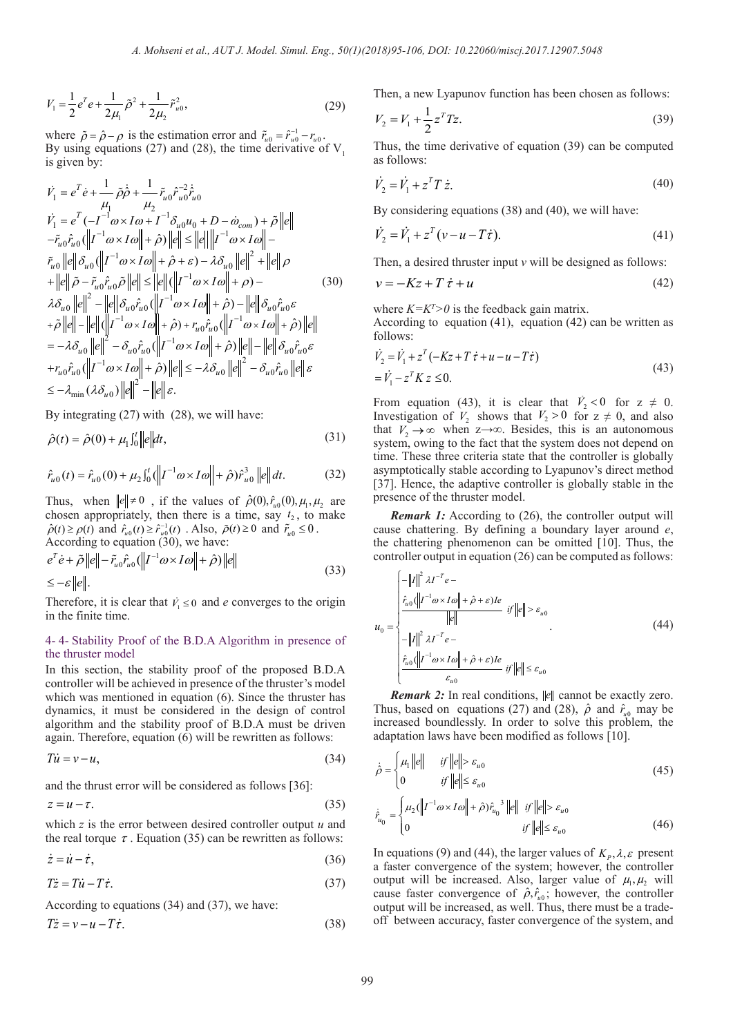$$
V_1 = \frac{1}{2}e^T e + \frac{1}{2\mu_1} \tilde{\rho}^2 + \frac{1}{2\mu_2} \tilde{r}_{u0}^2,
$$
 (29)

where  $\tilde{\rho} = \hat{\rho} - \rho$  is the estimation error and  $\tilde{r}_{u0} = \hat{r}_{u0}^{-1} - r_{u0}$ . By using equations (27) and (28), the time derivative of  $V_1$ is given by:

$$
\dot{V}_{1} = e^{T} \dot{e} + \frac{1}{\mu_{1}} \tilde{\rho} \dot{\rho} + \frac{1}{\mu_{2}} \tilde{r}_{u0} \tilde{r}_{u0}^{2} \dot{\tilde{r}}_{u0}
$$
\n
$$
\dot{V}_{1} = e^{T} (-I^{-1} \omega \times I \omega + I^{-1} \delta_{u0} u_{0} + D - \dot{\omega}_{com}) + \tilde{\rho} ||e||
$$
\n
$$
-\tilde{r}_{u0} \hat{r}_{u0} (||I^{-1} \omega \times I \omega|| + \hat{\rho}) ||e|| \le ||e|| ||I^{-1} \omega \times I \omega|| -
$$
\n
$$
\tilde{r}_{u0} ||e|| \delta_{u0} (||I^{-1} \omega \times I \omega|| + \hat{\rho} + \varepsilon) - \lambda \delta_{u0} ||e||^{2} + ||e|| \rho
$$
\n
$$
+ ||e|| \tilde{\rho} - \tilde{r}_{u0} \hat{r}_{u0} \tilde{\rho} ||e|| \le ||e|| (||I^{-1} \omega \times I \omega|| + \rho) -
$$
\n
$$
\lambda \delta_{u0} ||e||^{2} - ||e|| \delta_{u0} \hat{r}_{u0} (||I^{-1} \omega \times I \omega|| + \hat{\rho}) - ||e|| \delta_{u0} \hat{r}_{u0} \varepsilon
$$
\n
$$
+ \tilde{\rho} ||e|| - ||e|| (||I^{-1} \omega \times I \omega|| + \hat{\rho}) + r_{u0} \hat{r}_{u0} (||I^{-1} \omega \times I \omega|| + \hat{\rho}) ||e|| - ||e|| \delta_{u0} \hat{r}_{u0} \varepsilon
$$
\n
$$
+ r_{u0} \hat{r}_{u0} (||I^{-1} \omega \times I \omega|| + \hat{\rho}) ||e|| - ||e|| \delta_{u0} \hat{r}_{u0} \varepsilon
$$
\n
$$
+ r_{u0} \hat{r}_{u0} (||I^{-1} \omega \times I \omega|| + \hat{\rho}) ||e|| - ||e|| \delta_{u0} \hat{r}_{u0} \varepsilon
$$
\n
$$
+ r_{u0} \hat{r}_{u0} (||I^{-1} \omega \times I \omega|| + \hat{\rho}) ||e|| \le -\lambda \delta_{u0} ||e||^{2} - \delta_{u0} \
$$

By integrating (27) with (28), we will have:

$$
\hat{\rho}(t) = \hat{\rho}(0) + \mu_1 \int_0^t \left\| e \right\| dt,\tag{31}
$$

$$
\hat{r}_{u0}(t) = \hat{r}_{u0}(0) + \mu_2 \int_0^t (||t^{-1}\omega \times I\omega|| + \hat{\rho}) \hat{r}_{u0}^3 ||e|| dt.
$$
 (32)

Thus, when  $||e|| \neq 0$ , if the values of  $\hat{\rho}(0), \hat{r}_{u0}(0), \mu_1, \mu_2$  are chosen appropriately, then there is a time, say  $t_2$ , to make  $\hat{\rho}(t) \ge \rho(t)$  and  $\hat{r}_{u0}(t) \ge \hat{r}_{u0}^{-1}(t)$ . Also,  $\tilde{\rho}(t) \ge 0$  and  $\tilde{r}_{u0} \le 0$ . According to equation (30), we have:

$$
e^T \dot{e} + \tilde{\rho} \|e\| - \tilde{r}_{u0} \hat{r}_{u0} (\|I^{-1} \omega \times I \omega\| + \hat{\rho}) \|e\|
$$
  

$$
\leq -\varepsilon \|e\|.
$$
 (33)

Therefore, it is clear that  $\dot{V}_1 \le 0$  and *e* converges to the origin in the finite time.

#### 4- 4- Stability Proof of the B.D.A Algorithm in presence of the thruster model

In this section, the stability proof of the proposed B.D.A controller will be achieved in presence of the thruster's model which was mentioned in equation (6). Since the thruster has dynamics, it must be considered in the design of control algorithm and the stability proof of B.D.A must be driven again. Therefore, equation (6) will be rewritten as follows:

$$
Ti = \nu - u,\tag{34}
$$

and the thrust error will be considered as follows [36]:

$$
z = u - \tau. \tag{35}
$$

which *z* is the error between desired controller output *u* and the real torque  $\tau$ . Equation (35) can be rewritten as follows:

$$
\dot{z} = \dot{u} - \dot{\tau},\tag{36}
$$

$$
T\dot{z} = T\dot{u} - T\dot{\tau}.\tag{37}
$$

According to equations (34) and (37), we have:

$$
T\dot{z} = v - u - T\dot{\tau}.\tag{38}
$$

Then, a new Lyapunov function has been chosen as follows:

$$
V_2 = V_1 + \frac{1}{2} z^T T z. \tag{39}
$$

Thus, the time derivative of equation (39) can be computed as follows:

$$
\dot{V}_2 = \dot{V}_1 + z^T T \dot{z}.\tag{40}
$$

By considering equations (38) and (40), we will have:

$$
\dot{V}_2 = \dot{V}_1 + z^T (v - u - T\dot{\tau}).
$$
\n(41)

Then, a desired thruster input *v* will be designed as follows:

$$
v = -Kz + T \dot{\tau} + u \tag{42}
$$

where  $K = K<sup>T</sup> > 0$  is the feedback gain matrix.

According to equation (41), equation (42) can be written as follows:

$$
\dot{V}_2 = \dot{V}_1 + z^T(-Kz + T \dot{\tau} + u - u - T\dot{\tau})
$$
  
=  $\dot{V}_1 - z^T K z \le 0.$  (43)

From equation (43), it is clear that  $\dot{V}_2 < 0$  for  $z \neq 0$ . Investigation of  $V_2$  shows that  $V_2 > 0$  for  $z \neq 0$ , and also that  $V_2 \rightarrow \infty$  when  $z \rightarrow \infty$ . Besides, this is an autonomous system, owing to the fact that the system does not depend on time. These three criteria state that the controller is globally asymptotically stable according to Lyapunov's direct method [37]. Hence, the adaptive controller is globally stable in the presence of the thruster model.

*Remark 1:* According to (26), the controller output will cause chattering. By defining a boundary layer around *e*, the chattering phenomenon can be omitted [10]. Thus, the controller output in equation (26) can be computed as follows:

$$
u_{0} = \begin{cases}\n-\|I\|^{2} \lambda I^{-T} e - \\
\frac{\hat{r}_{u0}(\|I^{-1}\omega \times I\omega\| + \hat{\rho} + \varepsilon)I e}{\|e\|} & \text{if } \|e\| > \varepsilon_{u0} \\
-\|I\|^{2} \lambda I^{-T} e - \\
\frac{\hat{r}_{u0}(\|I^{-1}\omega \times I\omega\| + \hat{\rho} + \varepsilon)I e}{\varepsilon_{u0}} & \text{if } \|e\| \le \varepsilon_{u0}\n\end{cases}
$$
\n(44)

*Remark 2:* In real conditions,  $\|e\|$  cannot be exactly zero. Thus, based on equations (27) and (28),  $\hat{\rho}$  and  $\hat{r}_{u0}$  may be increased boundlessly. In order to solve this problem, the adaptation laws have been modified as follows [10].

$$
\dot{\hat{\rho}} = \begin{cases} \mu_1 \|\boldsymbol{e}\| & \text{if } \|\boldsymbol{e}\| > \varepsilon_{u0} \\ 0 & \text{if } \|\boldsymbol{e}\| \le \varepsilon_{u0} \end{cases} \tag{45}
$$
\n
$$
\dot{\hat{r}}_{u} = \begin{cases} \mu_2 (\|I^{-1}\boldsymbol{\omega} \times I\boldsymbol{\omega}\| + \hat{\rho}) \hat{r}_{u_0}^3 \|\boldsymbol{e}\| & \text{if } \|\boldsymbol{e}\| > \varepsilon_{u0} \end{cases} \tag{45}
$$

$$
\hat{r}_{u_0} = \begin{cases} \mu_2(\|I^{-1}\omega \times I\omega\| + \hat{\rho})\hat{r}_{u_0}^s \|\hat{e}\| & \text{if } \|\hat{e}\| > \varepsilon_{u_0} \\ 0 & \text{if } \|\hat{e}\| \le \varepsilon_{u_0} \end{cases}
$$
(46)

In equations (9) and (44), the larger values of  $K_p$ ,  $\lambda$ ,  $\varepsilon$  present a faster convergence of the system; however, the controller output will be increased. Also, larger value of  $\mu_1, \mu_2$  will cause faster convergence of  $\hat{\rho}, \hat{r}_{u0}$ ; however, the controller output will be increased, as well. Thus, there must be a tradeoff between accuracy, faster convergence of the system, and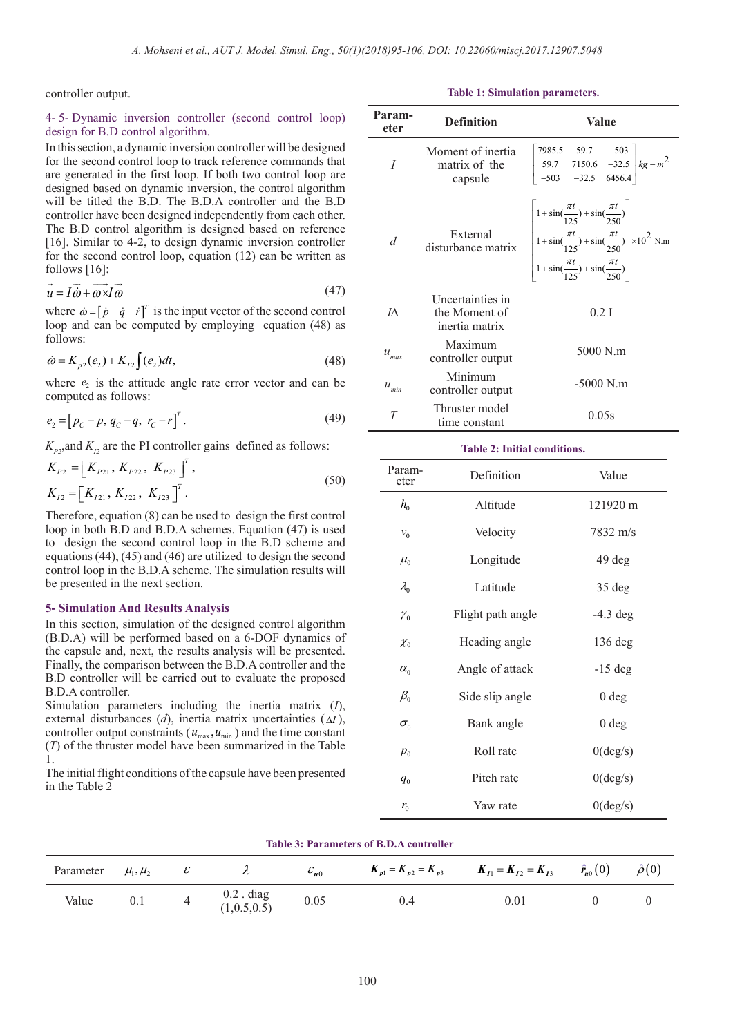controller output.

#### 4- 5- Dynamic inversion controller (second control loop) design for B.D control algorithm.

In this section, a dynamic inversion controller will be designed for the second control loop to track reference commands that are generated in the first loop. If both two control loop are designed based on dynamic inversion, the control algorithm will be titled the B.D. The B.D.A controller and the B.D controller have been designed independently from each other. The B.D control algorithm is designed based on reference [16]. Similar to 4-2, to design dynamic inversion controller for the second control loop, equation (12) can be written as follows [16]:

$$
\vec{u} = I\vec{\omega} + \vec{\omega} \times I\vec{\omega}
$$
 (47)

where  $\dot{\omega} = [\dot{p} \dot{q} \dot{r}]^T$  is the input vector of the second control loop and can be computed by employing equation (48) as follows:

$$
\dot{\omega} = K_{p2}(e_2) + K_{12} \int (e_2) dt,
$$
\n(48)

where  $e_2$  is the attitude angle rate error vector and can be computed as follows:

$$
e_2 = [p_C - p, q_C - q, r_C - r]^T.
$$
 (49)

 $K_p$ <sub>2</sub>,and  $K_p$  are the PI controller gains defined as follows:

$$
K_{P2} = [K_{P21}, K_{P22}, K_{P23}]^{T},
$$
  
\n
$$
K_{I2} = [K_{I21}, K_{I22}, K_{I23}]^{T}.
$$
\n(50)

Therefore, equation (8) can be used to design the first control loop in both B.D and B.D.A schemes. Equation (47) is used to design the second control loop in the B.D scheme and equations (44), (45) and (46) are utilized to design the second control loop in the B.D.A scheme. The simulation results will be presented in the next section.

#### **5- Simulation And Results Analysis**

In this section, simulation of the designed control algorithm (B.D.A) will be performed based on a 6-DOF dynamics of the capsule and, next, the results analysis will be presented. Finally, the comparison between the B.D.A controller and the B.D controller will be carried out to evaluate the proposed B.D.A controller.

Simulation parameters including the inertia matrix (*I*), external disturbances (*d*), inertia matrix uncertainties (∆*I* ), controller output constraints ( $u_{\text{max}}$ ,  $u_{\text{min}}$ ) and the time constant (*T*) of the thruster model have been summarized in the Table 1.

The initial flight conditions of the capsule have been presented in the Table 2

|  |  |  |  | <b>Table 1: Simulation parameters.</b> |  |
|--|--|--|--|----------------------------------------|--|
|--|--|--|--|----------------------------------------|--|

| Param-<br>eter      | <b>Definition</b>                                   | Value                                                                                                                                                                                                                            |  |  |
|---------------------|-----------------------------------------------------|----------------------------------------------------------------------------------------------------------------------------------------------------------------------------------------------------------------------------------|--|--|
|                     | Moment of inertia<br>matrix of the<br>capsule       | $\begin{bmatrix} 7985.5 & 59.7 & -503 \\ 59.7 & 7150.6 & -32.5 \\ -503 & -32.5 & 6456.4 \end{bmatrix} kg - m^2$                                                                                                                  |  |  |
| d                   | External<br>disturbance matrix                      | $\left[\begin{array}{l} 1+\sin(\frac{\pi t}{125})+\sin(\frac{\pi t}{250}) \\ 1+\sin(\frac{\pi t}{125})+\sin(\frac{\pi t}{250}) \\ 1+\sin(\frac{\pi t}{125})+\sin(\frac{\pi t}{250}) \end{array}\right] \times 10^2 \text{ N.m.}$ |  |  |
| IA.                 | Uncertainties in<br>the Moment of<br>inertia matrix | $0.2$ I                                                                                                                                                                                                                          |  |  |
| $u_{_{max}}$        | Maximum<br>controller output                        | 5000 N.m                                                                                                                                                                                                                         |  |  |
| $\mathcal{U}_{min}$ | Minimum<br>controller output                        | $-5000$ N.m                                                                                                                                                                                                                      |  |  |
| T                   | Thruster model<br>time constant                     | 0.05s                                                                                                                                                                                                                            |  |  |

#### **Table 2: Initial conditions.**

| Param-<br>eter                 | Definition        | Value              |
|--------------------------------|-------------------|--------------------|
| $h_{0}$                        | Altitude          | 121920 m           |
| $v_{0}$                        | Velocity          | $7832 \text{ m/s}$ |
| $\mu_{0}$                      | Longitude         | 49 deg             |
| $\lambda_{0}$                  | Latitude          | $35 \deg$          |
| $\mathcal{V}_0$                | Flight path angle | $-4.3$ deg         |
| $\chi_{0}$                     | Heading angle     | $136$ deg          |
| $\alpha_{0}$                   | Angle of attack   | $-15$ deg          |
| $\beta_{\scriptscriptstyle 0}$ | Side slip angle   | 0 <sub>deg</sub>   |
| $\sigma_{0}$                   | Bank angle        | 0 <sub>deg</sub>   |
| $p_{0}$                        | Roll rate         | $0(\text{deg/s})$  |
| $q_{0}$                        | Pitch rate        | 0(deg/s)           |
| $r_{0}$                        | Yaw rate          | $0(\text{deg/s})$  |

| THINK OF THE MILIONUL OR DID H & COILE OIL OF |                |   |                           |                 |                            |                            |                   |                 |
|-----------------------------------------------|----------------|---|---------------------------|-----------------|----------------------------|----------------------------|-------------------|-----------------|
| Parameter                                     | $\mu_1, \mu_2$ | o |                           | $\epsilon_{u0}$ | $K_{p1} = K_{p2} = K_{p3}$ | $K_{I1} = K_{I2} = K_{I3}$ | $\hat{r}_{u0}(0)$ | $\hat{\rho}(0)$ |
| Value                                         | 0.1            |   | $0.2$ . diag<br>1,0.5,0.5 | 0.05            | 0.4                        | $0.01\,$                   |                   |                 |

**Table 3: Parameters of B.D.A controller**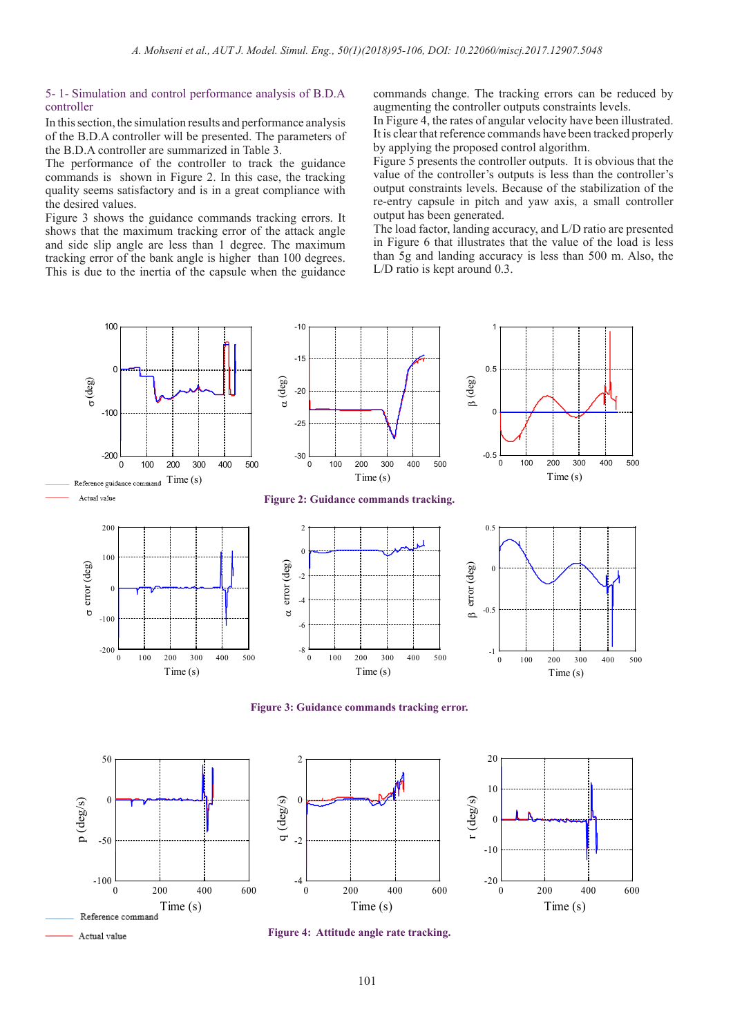#### 5- 1- Simulation and control performance analysis of B.D.A controller

In this section, the simulation results and performance analysis of the B.D.A controller will be presented. The parameters of the B.D.A controller are summarized in Table 3.

The performance of the controller to track the guidance commands is shown in Figure 2. In this case, the tracking quality seems satisfactory and is in a great compliance with the desired values.

Figure 3 shows the guidance commands tracking errors. It shows that the maximum tracking error of the attack angle and side slip angle are less than 1 degree. The maximum tracking error of the bank angle is higher than 100 degrees. This is due to the inertia of the capsule when the guidance commands change. The tracking errors can be reduced by augmenting the controller outputs constraints levels.

In Figure 4, the rates of angular velocity have been illustrated. It is clear that reference commands have been tracked properly by applying the proposed control algorithm.

Figure 5 presents the controller outputs. It is obvious that the value of the controller's outputs is less than the controller's output constraints levels. Because of the stabilization of the re-entry capsule in pitch and yaw axis, a small controller output has been generated.

The load factor, landing accuracy, and L/D ratio are presented in Figure 6 that illustrates that the value of the load is less than 5g and landing accuracy is less than 500 m. Also, the L/D ratio is kept around 0.3.



**Figure 3: Guidance commands tracking error.**

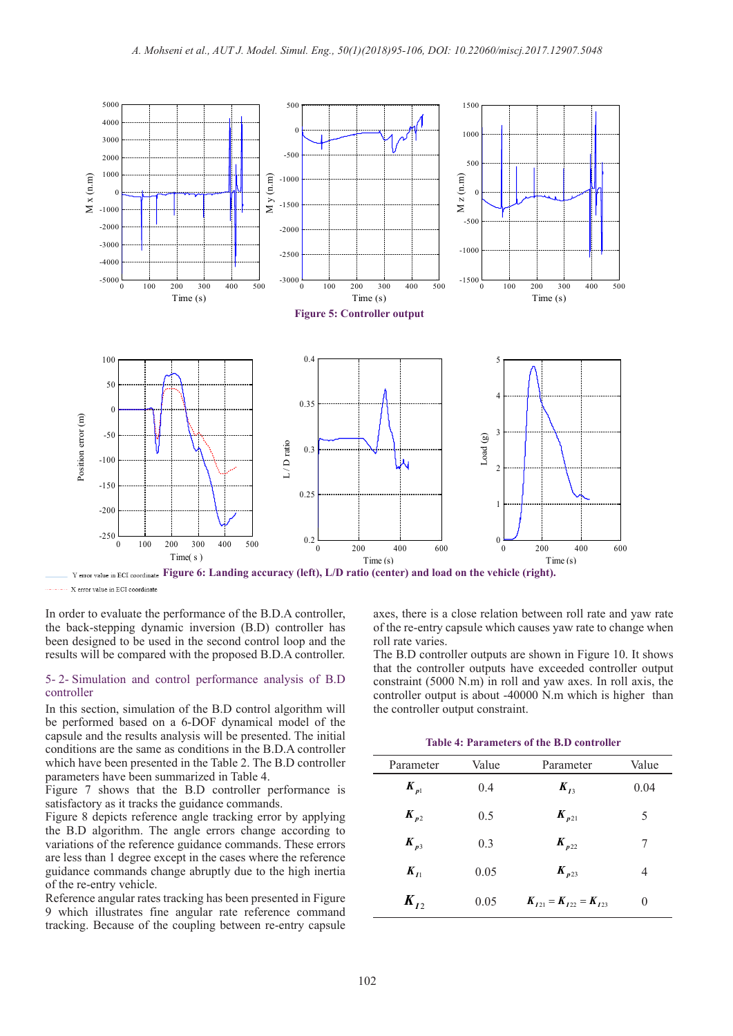

----- X error value in ECI coordinate

In order to evaluate the performance of the B.D.A controller, the back-stepping dynamic inversion (B.D) controller has been designed to be used in the second control loop and the results will be compared with the proposed B.D.A controller.

#### 5- 2- Simulation and control performance analysis of B.D controller

In this section, simulation of the B.D control algorithm will be performed based on a 6-DOF dynamical model of the capsule and the results analysis will be presented. The initial conditions are the same as conditions in the B.D.A controller which have been presented in the Table 2. The B.D controller parameters have been summarized in Table 4.

Figure 7 shows that the B.D controller performance is satisfactory as it tracks the guidance commands.

Figure 8 depicts reference angle tracking error by applying the B.D algorithm. The angle errors change according to variations of the reference guidance commands. These errors are less than 1 degree except in the cases where the reference guidance commands change abruptly due to the high inertia of the re-entry vehicle.

Reference angular rates tracking has been presented in Figure 9 which illustrates fine angular rate reference command tracking. Because of the coupling between re-entry capsule axes, there is a close relation between roll rate and yaw rate of the re-entry capsule which causes yaw rate to change when roll rate varies.

The B.D controller outputs are shown in Figure 10. It shows that the controller outputs have exceeded controller output constraint (5000 N.m) in roll and yaw axes. In roll axis, the controller output is about -40000 N.m which is higher than the controller output constraint.

**Table 4: Parameters of the B.D controller**

| Parameter             | Value | Parameter                     | Value |
|-----------------------|-------|-------------------------------|-------|
| $\boldsymbol{K}_{p1}$ | 0.4   | $K_{I_3}$                     | 0.04  |
| $K_{p2}$              | 0.5   | $\boldsymbol{K}_{p21}$        | 5     |
| $K_{p3}$              | 0.3   | $K_{p22}$                     | 7     |
| $K_{I}$               | 0.05  | $K_{p23}$                     | 4     |
| $K_{L2}$              | 0.05  | $K_{121} = K_{122} = K_{123}$ | 0     |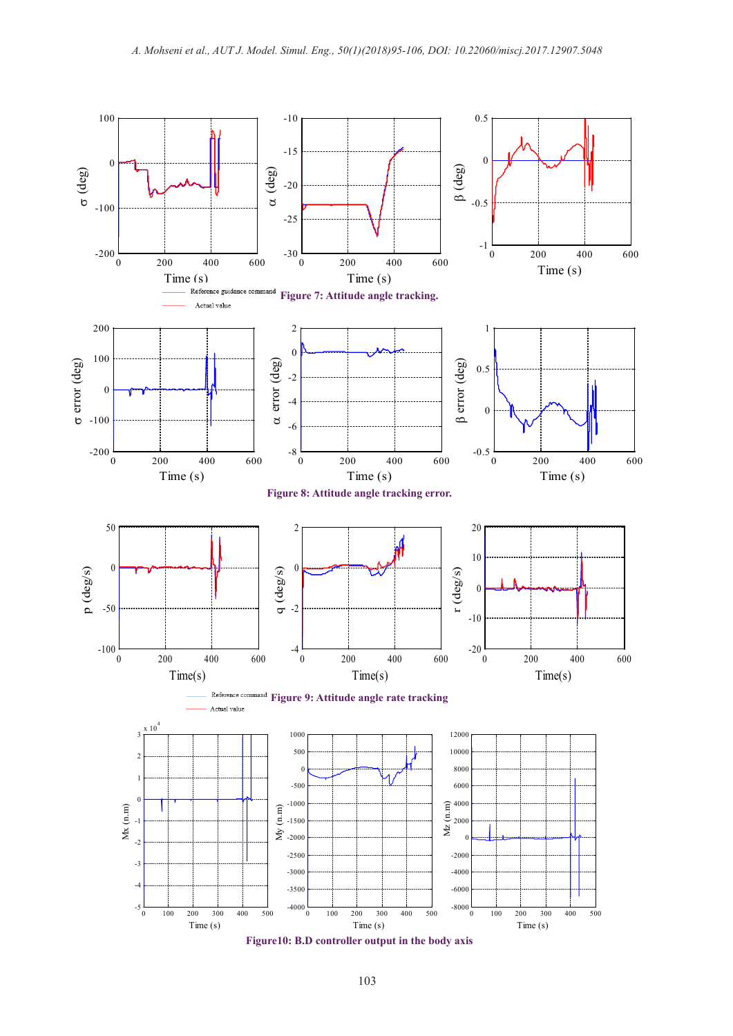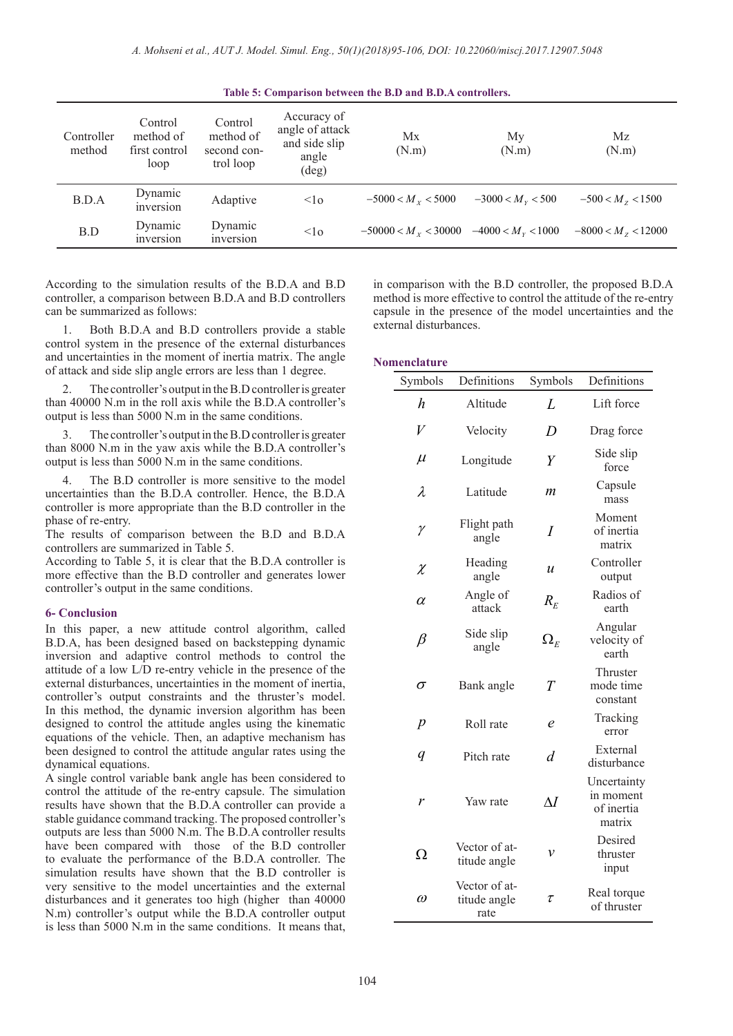| Table 5: Comparison between the B.D and B.D.A controllers. |                                               |                                                  |                                                                            |                        |                            |                      |
|------------------------------------------------------------|-----------------------------------------------|--------------------------------------------------|----------------------------------------------------------------------------|------------------------|----------------------------|----------------------|
| Controller<br>method                                       | Control<br>method of<br>first control<br>loop | Control<br>method of<br>second con-<br>trol loop | Accuracy of<br>angle of attack<br>and side slip<br>angle<br>$(\text{deg})$ | Mx<br>(N.m)            | My<br>(N.m)                | Mz<br>(N.m)          |
| B.D.A                                                      | Dynamic<br>inversion                          | Adaptive                                         | $\leq$ lo                                                                  | $-5000 < M_{Y} < 5000$ | $-3000 < Mv < 500$         | $-500 < Mz < 1500$   |
| B.D                                                        | Dynamic<br>inversion                          | Dynamic<br>inversion                             | <1 <sub>0</sub>                                                            | $-50000 < Mv < 30000$  | $-4000 < M_{\rm v} < 1000$ | $-8000 < Mz < 12000$ |

According to the simulation results of the B.D.A and B.D controller, a comparison between B.D.A and B.D controllers can be summarized as follows:

1. Both B.D.A and B.D controllers provide a stable control system in the presence of the external disturbances and uncertainties in the moment of inertia matrix. The angle of attack and side slip angle errors are less than 1 degree.

2. The controller's output in the B.D controller is greater than 40000 N.m in the roll axis while the B.D.A controller's output is less than 5000 N.m in the same conditions.

The controller's output in the B.D controller is greater than 8000 N.m in the yaw axis while the B.D.A controller's output is less than 5000 N.m in the same conditions.

4. The B.D controller is more sensitive to the model uncertainties than the B.D.A controller. Hence, the B.D.A controller is more appropriate than the B.D controller in the phase of re-entry.

The results of comparison between the B.D and B.D.A controllers are summarized in Table 5.

According to Table 5, it is clear that the B.D.A controller is more effective than the B.D controller and generates lower controller's output in the same conditions.

#### **6- Conclusion**

In this paper, a new attitude control algorithm, called B.D.A, has been designed based on backstepping dynamic inversion and adaptive control methods to control the attitude of a low L/D re-entry vehicle in the presence of the external disturbances, uncertainties in the moment of inertia, controller's output constraints and the thruster's model. In this method, the dynamic inversion algorithm has been designed to control the attitude angles using the kinematic equations of the vehicle. Then, an adaptive mechanism has been designed to control the attitude angular rates using the dynamical equations.

A single control variable bank angle has been considered to control the attitude of the re-entry capsule. The simulation results have shown that the B.D.A controller can provide a stable guidance command tracking. The proposed controller's outputs are less than 5000 N.m. The B.D.A controller results have been compared with those of the B.D controller to evaluate the performance of the B.D.A controller. The simulation results have shown that the B.D controller is very sensitive to the model uncertainties and the external disturbances and it generates too high (higher than 40000 N.m) controller's output while the B.D.A controller output is less than 5000 N.m in the same conditions. It means that, in comparison with the B.D controller, the proposed B.D.A method is more effective to control the attitude of the re-entry capsule in the presence of the model uncertainties and the external disturbances.

#### **Nomenclature**

| Symbols          | Definitions                           | Symbols                         | Definitions                                      |
|------------------|---------------------------------------|---------------------------------|--------------------------------------------------|
| h                | Altitude                              | L                               | Lift force                                       |
| $\bar{V}$        | Velocity                              | D                               | Drag force                                       |
| $\mu$            | Longitude                             | Y                               | Side slip<br>force                               |
| $\lambda$        | Latitude                              | m                               | Capsule<br>mass                                  |
| $\gamma$         | Flight path<br>angle                  | I                               | Moment<br>of inertia<br>matrix                   |
| $\chi$           | Heading<br>angle                      | $\boldsymbol{\mathcal{u}}$      | Controller<br>output                             |
| $\alpha$         | Angle of<br>attack                    | $R_E$                           | Radios of<br>earth                               |
| $\beta$          | Side slip<br>angle                    | $\Omega_{\scriptscriptstyle E}$ | Angular<br>velocity of<br>earth                  |
| $\sigma$         | Bank angle                            | T                               | Thruster<br>mode time<br>constant                |
| $\boldsymbol{p}$ | Roll rate                             | e                               | Tracking<br>error                                |
| $\boldsymbol{q}$ | Pitch rate                            | d                               | External<br>disturbance                          |
| r                | Yaw rate                              | $\Delta I$                      | Uncertainty<br>in moment<br>of inertia<br>matrix |
| Ω                | Vector of at-<br>titude angle         | ν                               | Desired<br>thruster<br>input                     |
| $\omega$         | Vector of at-<br>titude angle<br>rate | τ                               | Real torque<br>of thruster                       |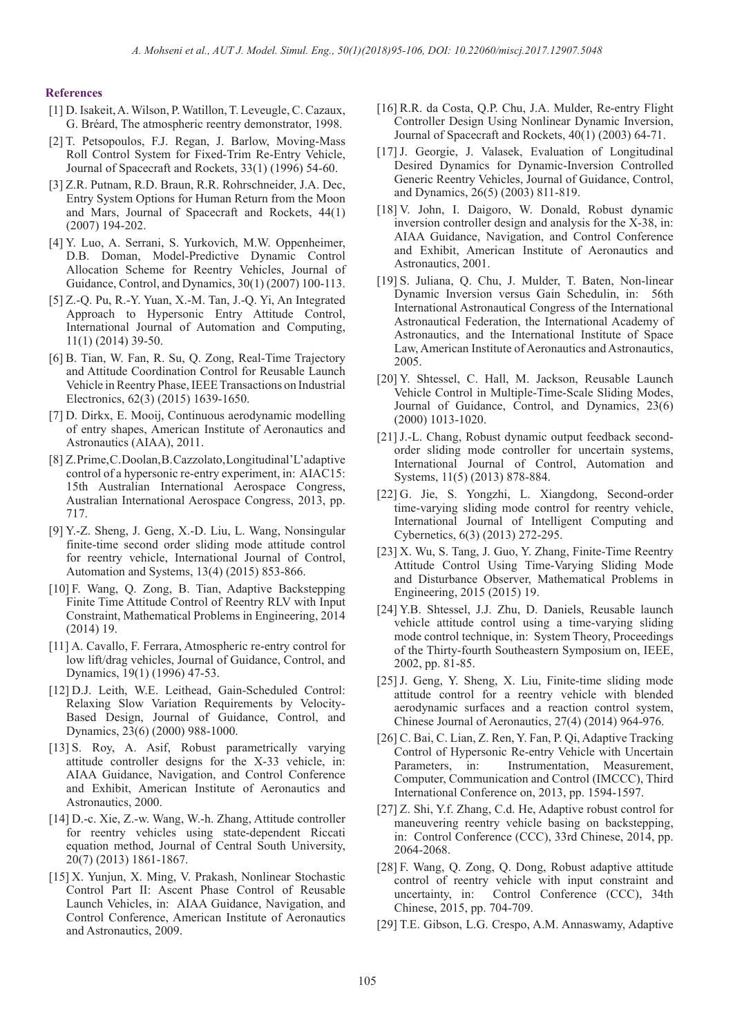#### **References**

- [1] D. Isakeit, A. Wilson, P. Watillon, T. Leveugle, C. Cazaux, G. Bréard, The atmospheric reentry demonstrator, 1998.
- [2] T. Petsopoulos, F.J. Regan, J. Barlow, Moving-Mass Roll Control System for Fixed-Trim Re-Entry Vehicle, Journal of Spacecraft and Rockets, 33(1) (1996) 54-60.
- [3] Z.R. Putnam, R.D. Braun, R.R. Rohrschneider, J.A. Dec, Entry System Options for Human Return from the Moon and Mars, Journal of Spacecraft and Rockets, 44(1) (2007) 194-202.
- [4] Y. Luo, A. Serrani, S. Yurkovich, M.W. Oppenheimer, D.B. Doman, Model-Predictive Dynamic Control Allocation Scheme for Reentry Vehicles, Journal of Guidance, Control, and Dynamics, 30(1) (2007) 100-113.
- [5] Z.-Q. Pu, R.-Y. Yuan, X.-M. Tan, J.-Q. Yi, An Integrated Approach to Hypersonic Entry Attitude Control, International Journal of Automation and Computing, 11(1) (2014) 39-50.
- [6] B. Tian, W. Fan, R. Su, Q. Zong, Real-Time Trajectory and Attitude Coordination Control for Reusable Launch Vehicle in Reentry Phase, IEEE Transactions on Industrial Electronics, 62(3) (2015) 1639-1650.
- [7] D. Dirkx, E. Mooij, Continuous aerodynamic modelling of entry shapes, American Institute of Aeronautics and Astronautics (AIAA), 2011.
- [8] Z. Prime, C. Doolan, B. Cazzolato, Longitudinal'L'adaptive control of a hypersonic re-entry experiment, in: AIAC15: 15th Australian International Aerospace Congress, Australian International Aerospace Congress, 2013, pp. 717.
- [9] Y.-Z. Sheng, J. Geng, X.-D. Liu, L. Wang, Nonsingular finite-time second order sliding mode attitude control for reentry vehicle, International Journal of Control, Automation and Systems, 13(4) (2015) 853-866.
- [10] F. Wang, Q. Zong, B. Tian, Adaptive Backstepping Finite Time Attitude Control of Reentry RLV with Input Constraint, Mathematical Problems in Engineering, 2014 (2014) 19.
- [11] A. Cavallo, F. Ferrara, Atmospheric re-entry control for low lift/drag vehicles, Journal of Guidance, Control, and Dynamics, 19(1) (1996) 47-53.
- [12] D.J. Leith, W.E. Leithead, Gain-Scheduled Control: Relaxing Slow Variation Requirements by Velocity-Based Design, Journal of Guidance, Control, and Dynamics, 23(6) (2000) 988-1000.
- [13] S. Roy, A. Asif, Robust parametrically varying attitude controller designs for the X-33 vehicle, in: AIAA Guidance, Navigation, and Control Conference and Exhibit, American Institute of Aeronautics and Astronautics, 2000.
- [14] D.-c. Xie, Z.-w. Wang, W.-h. Zhang, Attitude controller for reentry vehicles using state-dependent Riccati equation method, Journal of Central South University, 20(7) (2013) 1861-1867.
- [15] X. Yunjun, X. Ming, V. Prakash, Nonlinear Stochastic Control Part II: Ascent Phase Control of Reusable Launch Vehicles, in: AIAA Guidance, Navigation, and Control Conference, American Institute of Aeronautics and Astronautics, 2009.
- [16] R.R. da Costa, Q.P. Chu, J.A. Mulder, Re-entry Flight Controller Design Using Nonlinear Dynamic Inversion, Journal of Spacecraft and Rockets, 40(1) (2003) 64-71.
- [17] J. Georgie, J. Valasek, Evaluation of Longitudinal Desired Dynamics for Dynamic-Inversion Controlled Generic Reentry Vehicles, Journal of Guidance, Control, and Dynamics, 26(5) (2003) 811-819.
- [18] V. John, I. Daigoro, W. Donald, Robust dynamic inversion controller design and analysis for the X-38, in: AIAA Guidance, Navigation, and Control Conference and Exhibit, American Institute of Aeronautics and Astronautics, 2001.
- [19] S. Juliana, Q. Chu, J. Mulder, T. Baten, Non-linear Dynamic Inversion versus Gain Schedulin, in: 56th International Astronautical Congress of the International Astronautical Federation, the International Academy of Astronautics, and the International Institute of Space Law, American Institute of Aeronautics and Astronautics, 2005.
- [20] Y. Shtessel, C. Hall, M. Jackson, Reusable Launch Vehicle Control in Multiple-Time-Scale Sliding Modes, Journal of Guidance, Control, and Dynamics, 23(6) (2000) 1013-1020.
- [21] J.-L. Chang, Robust dynamic output feedback secondorder sliding mode controller for uncertain systems, International Journal of Control, Automation and Systems, 11(5) (2013) 878-884.
- [22] G. Jie, S. Yongzhi, L. Xiangdong, Second-order time-varying sliding mode control for reentry vehicle, International Journal of Intelligent Computing and Cybernetics, 6(3) (2013) 272-295.
- [23] X. Wu, S. Tang, J. Guo, Y. Zhang, Finite-Time Reentry Attitude Control Using Time-Varying Sliding Mode and Disturbance Observer, Mathematical Problems in Engineering, 2015 (2015) 19.
- [24] Y.B. Shtessel, J.J. Zhu, D. Daniels, Reusable launch vehicle attitude control using a time-varying sliding mode control technique, in: System Theory, Proceedings of the Thirty-fourth Southeastern Symposium on, IEEE, 2002, pp. 81-85.
- [25] J. Geng, Y. Sheng, X. Liu, Finite-time sliding mode attitude control for a reentry vehicle with blended aerodynamic surfaces and a reaction control system, Chinese Journal of Aeronautics, 27(4) (2014) 964-976.
- [26] C. Bai, C. Lian, Z. Ren, Y. Fan, P. Qi, Adaptive Tracking Control of Hypersonic Re-entry Vehicle with Uncertain Parameters, in: Instrumentation, Measurement, Computer, Communication and Control (IMCCC), Third International Conference on, 2013, pp. 1594-1597.
- [27] Z. Shi, Y.f. Zhang, C.d. He, Adaptive robust control for maneuvering reentry vehicle basing on backstepping, in: Control Conference (CCC), 33rd Chinese, 2014, pp. 2064-2068.
- [28] F. Wang, Q. Zong, Q. Dong, Robust adaptive attitude control of reentry vehicle with input constraint and uncertainty, in: Control Conference (CCC), 34th Chinese, 2015, pp. 704-709.
- [29] T.E. Gibson, L.G. Crespo, A.M. Annaswamy, Adaptive